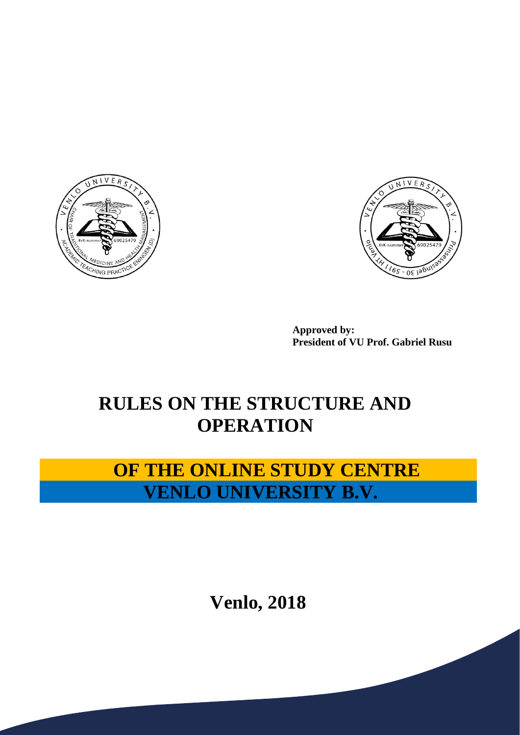



**Approved by: President of VU Prof. Gabriel Rusu**

# **RULES ON THE STRUCTURE AND OPERATION**

# **OF THE ONLINE STUDY CENTRE VENLO UNIVERSITY B.V.**

**Venlo, 2018**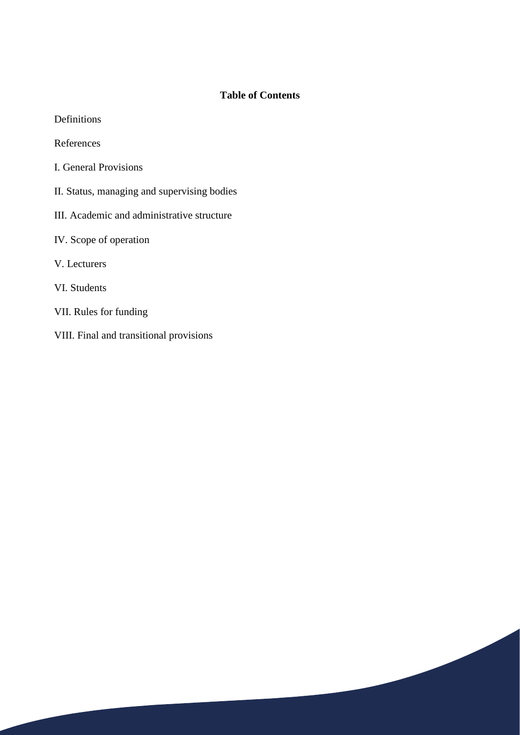## **Table of Contents**

| Definitions |
|-------------|
|-------------|

References

- I. General Provisions
- II. Status, managing and supervising bodies
- III. Academic and administrative structure
- IV. Scope of operation
- V. Lecturers
- VI. Students
- VII. Rules for funding
- VIII. Final and transitional provisions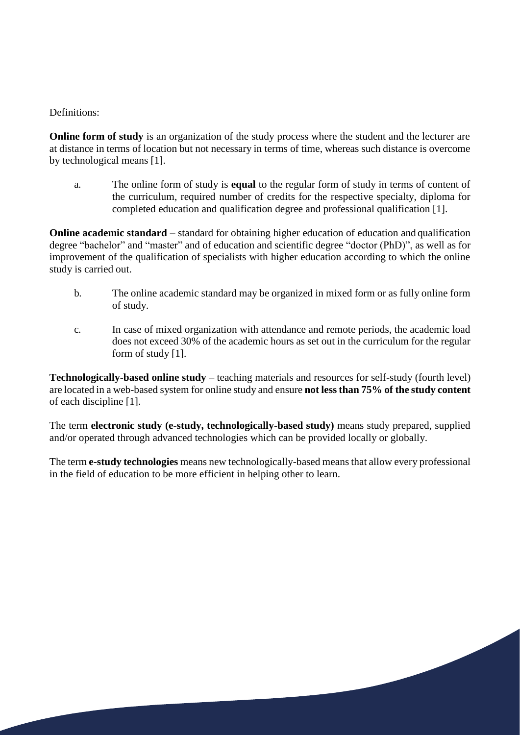#### Definitions:

**Online form of study** is an organization of the study process where the student and the lecturer are at distance in terms of location but not necessary in terms of time, whereas such distance is overcome by technological means [1].

a. The online form of study is **equal** to the regular form of study in terms of content of the curriculum, required number of credits for the respective specialty, diploma for completed education and qualification degree and professional qualification [1].

**Online academic standard** – standard for obtaining higher education of education and qualification degree "bachelor" and "master" and of education and scientific degree "doctor (PhD)", as well as for improvement of the qualification of specialists with higher education according to which the online study is carried out.

- b. The online academic standard may be organized in mixed form or as fully online form of study.
- c. In case of mixed organization with attendance and remote periods, the academic load does not exceed 30% of the academic hours as set out in the curriculum for the regular form of study [1].

**Technologically-based online study** – teaching materials and resources for self-study (fourth level) are located in a web-based system for online study and ensure **not lessthan 75% of the study content**  of each discipline [1].

The term **electronic study (e-study, technologically-based study)** means study prepared, supplied and/or operated through advanced technologies which can be provided locally or globally.

The term **e-study technologies** means new technologically-based means that allow every professional in the field of education to be more efficient in helping other to learn.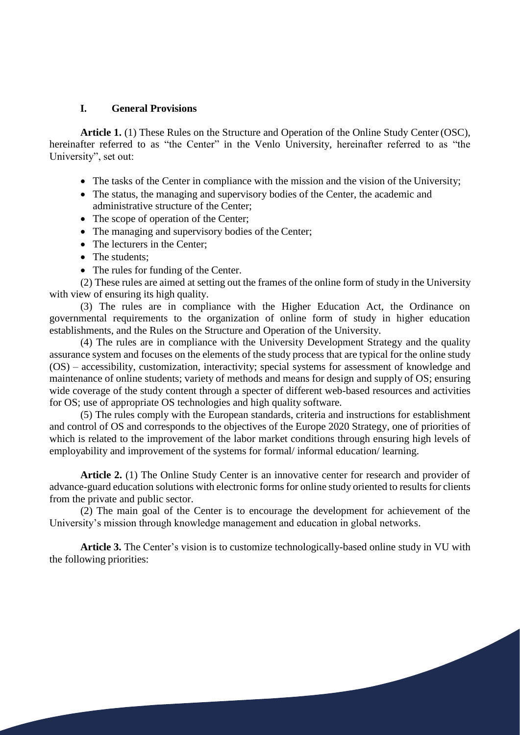#### **I. General Provisions**

**Article 1.** (1) These Rules on the Structure and Operation of the Online Study Center (OSC), hereinafter referred to as "the Center" in the Venlo University, hereinafter referred to as "the University", set out:

- The tasks of the Center in compliance with the mission and the vision of the University;
- The status, the managing and supervisory bodies of the Center, the academic and administrative structure of the Center;
- The scope of operation of the Center;
- The managing and supervisory bodies of the Center;
- The lecturers in the Center;
- The students:
- The rules for funding of the Center.

(2) These rules are aimed at setting out the frames of the online form of study in the University with view of ensuring its high quality.

(3) The rules are in compliance with the Higher Education Act, the Ordinance on governmental requirements to the organization of online form of study in higher education establishments, and the Rules on the Structure and Operation of the University.

(4) The rules are in compliance with the University Development Strategy and the quality assurance system and focuses on the elements of the study process that are typical for the online study (OS) – accessibility, customization, interactivity; special systems for assessment of knowledge and maintenance of online students; variety of methods and means for design and supply of OS; ensuring wide coverage of the study content through a specter of different web-based resources and activities for OS; use of appropriate OS technologies and high quality software.

(5) The rules comply with the European standards, criteria and instructions for establishment and control of OS and corresponds to the objectives of the Europe 2020 Strategy, one of priorities of which is related to the improvement of the labor market conditions through ensuring high levels of employability and improvement of the systems for formal/ informal education/ learning.

Article 2. (1) The Online Study Center is an innovative center for research and provider of advance-guard education solutions with electronic forms for online study oriented to results for clients from the private and public sector.

(2) The main goal of the Center is to encourage the development for achievement of the University's mission through knowledge management and education in global networks.

**Article 3.** The Center's vision is to customize technologically-based online study in VU with the following priorities: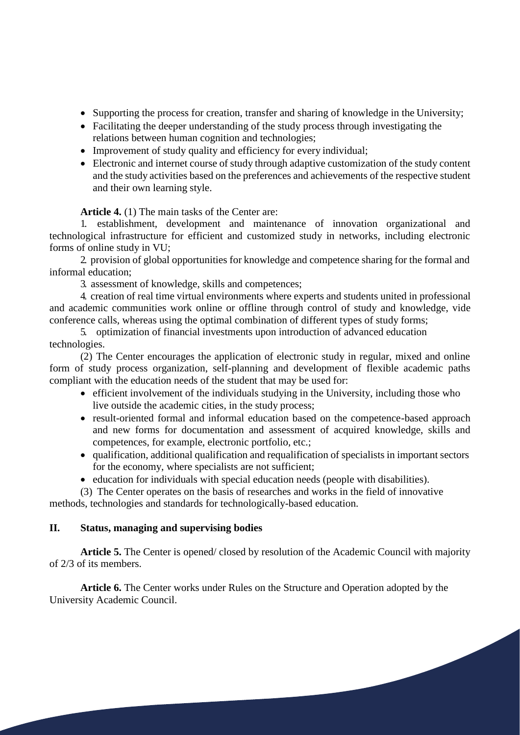- Supporting the process for creation, transfer and sharing of knowledge in the University;
- Facilitating the deeper understanding of the study process through investigating the relations between human cognition and technologies;
- Improvement of study quality and efficiency for every individual;
- Electronic and internet course of study through adaptive customization of the study content and the study activities based on the preferences and achievements of the respective student and their own learning style.

**Article 4.** (1) The main tasks of the Center are:

1. establishment, development and maintenance of innovation organizational and technological infrastructure for efficient and customized study in networks, including electronic forms of online study in VU;

2. provision of global opportunities for knowledge and competence sharing for the formal and informal education;

3. assessment of knowledge, skills and competences;

4. creation of real time virtual environments where experts and students united in professional and academic communities work online or offline through control of study and knowledge, vide conference calls, whereas using the optimal combination of different types of study forms;

## 5. optimization of financial investments upon introduction of advanced education technologies.

(2) The Center encourages the application of electronic study in regular, mixed and online form of study process organization, self-planning and development of flexible academic paths compliant with the education needs of the student that may be used for:

- efficient involvement of the individuals studying in the University, including those who live outside the academic cities, in the study process;
- result-oriented formal and informal education based on the competence-based approach and new forms for documentation and assessment of acquired knowledge, skills and competences, for example, electronic portfolio, etc.;
- qualification, additional qualification and requalification of specialists in important sectors for the economy, where specialists are not sufficient;
- education for individuals with special education needs (people with disabilities).
- (3) The Center operates on the basis of researches and works in the field of innovative methods, technologies and standards for technologically-based education.

#### **II. Status, managing and supervising bodies**

**Article 5.** The Center is opened/ closed by resolution of the Academic Council with majority of 2/3 of its members.

**Article 6.** The Center works under Rules on the Structure and Operation adopted by the University Academic Council.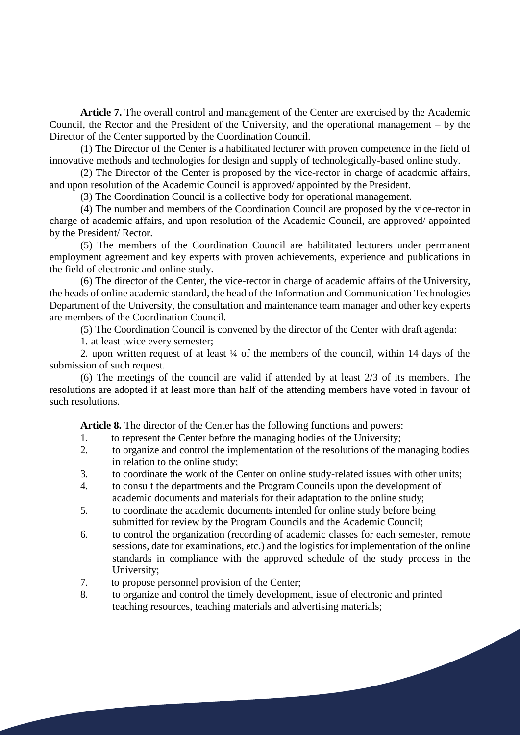**Article 7.** The overall control and management of the Center are exercised by the Academic Council, the Rector and the President of the University, and the operational management – by the Director of the Center supported by the Coordination Council.

(1) The Director of the Center is a habilitated lecturer with proven competence in the field of innovative methods and technologies for design and supply of technologically-based online study.

(2) The Director of the Center is proposed by the vice-rector in charge of academic affairs, and upon resolution of the Academic Council is approved/ appointed by the President.

(3) The Coordination Council is a collective body for operational management.

(4) The number and members of the Coordination Council are proposed by the vice-rector in charge of academic affairs, and upon resolution of the Academic Council, are approved/ appointed by the President/ Rector.

(5) The members of the Coordination Council are habilitated lecturers under permanent employment agreement and key experts with proven achievements, experience and publications in the field of electronic and online study.

(6) The director of the Center, the vice-rector in charge of academic affairs of the University, the heads of online academic standard, the head of the Information and Communication Technologies Department of the University, the consultation and maintenance team manager and other key experts are members of the Coordination Council.

(5) The Coordination Council is convened by the director of the Center with draft agenda:

1. at least twice every semester;

2. upon written request of at least ¼ of the members of the council, within 14 days of the submission of such request.

(6) The meetings of the council are valid if attended by at least 2/3 of its members. The resolutions are adopted if at least more than half of the attending members have voted in favour of such resolutions.

**Article 8.** The director of the Center has the following functions and powers:

- 1. to represent the Center before the managing bodies of the University;
- 2. to organize and control the implementation of the resolutions of the managing bodies in relation to the online study;
- 3. to coordinate the work of the Center on online study-related issues with other units;
- 4. to consult the departments and the Program Councils upon the development of academic documents and materials for their adaptation to the online study;
- 5. to coordinate the academic documents intended for online study before being submitted for review by the Program Councils and the Academic Council;
- 6. to control the organization (recording of academic classes for each semester, remote sessions, date for examinations, etc.) and the logistics for implementation of the online standards in compliance with the approved schedule of the study process in the University;
- 7. to propose personnel provision of the Center;
- 8. to organize and control the timely development, issue of electronic and printed teaching resources, teaching materials and advertising materials;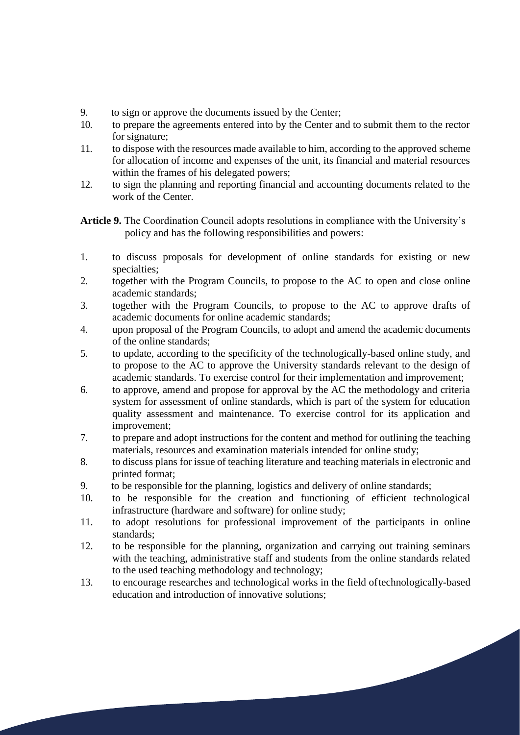- 9. to sign or approve the documents issued by the Center;<br>10 to prepare the agreements entered into by the Center are
- 10. to prepare the agreements entered into by the Center and to submit them to the rector for signature;
- 11. to dispose with the resources made available to him, according to the approved scheme for allocation of income and expenses of the unit, its financial and material resources within the frames of his delegated powers;
- 12. to sign the planning and reporting financial and accounting documents related to the work of the Center.

**Article 9.** The Coordination Council adopts resolutions in compliance with the University's policy and has the following responsibilities and powers:

- 1. to discuss proposals for development of online standards for existing or new specialties;
- 2. together with the Program Councils, to propose to the AC to open and close online academic standards;
- 3. together with the Program Councils, to propose to the AC to approve drafts of academic documents for online academic standards;
- 4. upon proposal of the Program Councils, to adopt and amend the academic documents of the online standards;
- 5. to update, according to the specificity of the technologically-based online study, and to propose to the AC to approve the University standards relevant to the design of academic standards. To exercise control for their implementation and improvement;
- 6. to approve, amend and propose for approval by the AC the methodology and criteria system for assessment of online standards, which is part of the system for education quality assessment and maintenance. To exercise control for its application and improvement;
- 7. to prepare and adopt instructions for the content and method for outlining the teaching materials, resources and examination materials intended for online study;
- 8. to discuss plans for issue of teaching literature and teaching materials in electronic and printed format;
- 9. to be responsible for the planning, logistics and delivery of online standards;
- 10. to be responsible for the creation and functioning of efficient technological infrastructure (hardware and software) for online study;
- 11. to adopt resolutions for professional improvement of the participants in online standards;
- 12. to be responsible for the planning, organization and carrying out training seminars with the teaching, administrative staff and students from the online standards related to the used teaching methodology and technology;
- 13. to encourage researches and technological works in the field oftechnologically-based education and introduction of innovative solutions;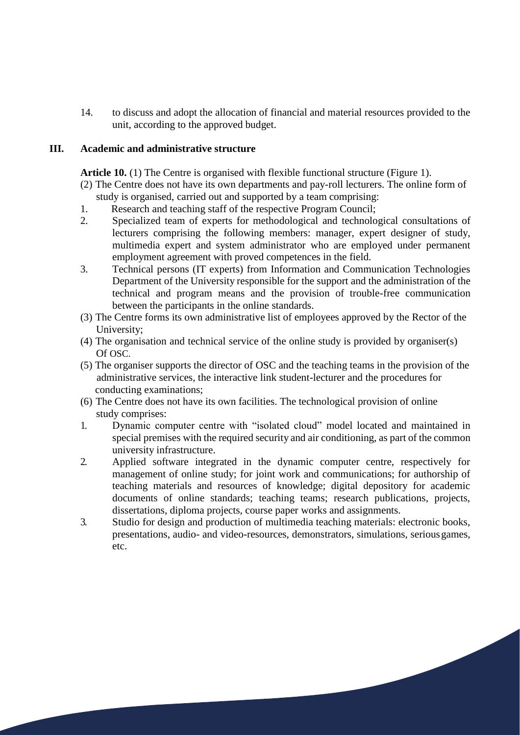14. to discuss and adopt the allocation of financial and material resources provided to the unit, according to the approved budget.

#### **III. Academic and administrative structure**

**Article 10.** (1) The Centre is organised with flexible functional structure (Figure 1).

- (2) The Centre does not have its own departments and pay-roll lecturers. The online form of study is organised, carried out and supported by a team comprising:
- 1. Research and teaching staff of the respective Program Council;
- 2. Specialized team of experts for methodological and technological consultations of lecturers comprising the following members: manager, expert designer of study, multimedia expert and system administrator who are employed under permanent employment agreement with proved competences in the field.
- 3. Technical persons (IT experts) from Information and Communication Technologies Department of the University responsible for the support and the administration of the technical and program means and the provision of trouble-free communication between the participants in the online standards.
- (3) The Centre forms its own administrative list of employees approved by the Rector of the University;
- (4) The organisation and technical service of the online study is provided by organiser(s) Of OSC.
- (5) The organiser supports the director of OSC and the teaching teams in the provision of the administrative services, the interactive link student-lecturer and the procedures for conducting examinations;
- (6) The Centre does not have its own facilities. The technological provision of online study comprises:
- 1. Dynamic computer centre with "isolated cloud" model located and maintained in special premises with the required security and air conditioning, as part of the common university infrastructure.
- 2. Applied software integrated in the dynamic computer centre, respectively for management of online study; for joint work and communications; for authorship of teaching materials and resources of knowledge; digital depository for academic documents of online standards; teaching teams; research publications, projects, dissertations, diploma projects, course paper works and assignments.
- 3. Studio for design and production of multimedia teaching materials: electronic books, presentations, audio- and video-resources, demonstrators, simulations, seriousgames, etc.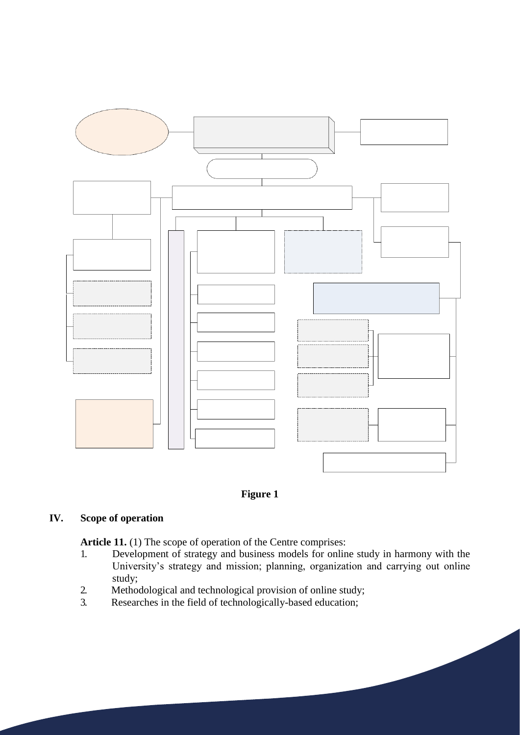



### **IV. Scope of operation**

Article 11. (1) The scope of operation of the Centre comprises:

- 1. Development of strategy and business models for online study in harmony with the University's strategy and mission; planning, organization and carrying out online study;
- 2. Methodological and technological provision of online study;<br>3. Researches in the field of technologically-based education:
- Researches in the field of technologically-based education;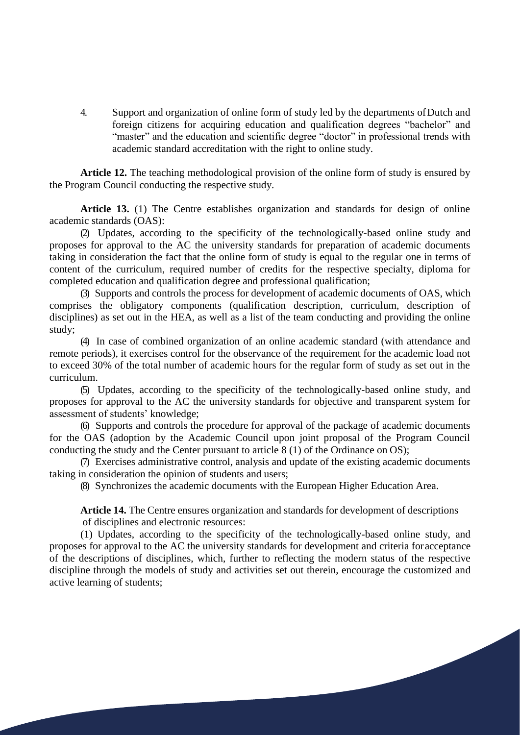4. Support and organization of online form of study led by the departments ofDutch and foreign citizens for acquiring education and qualification degrees "bachelor" and "master" and the education and scientific degree "doctor" in professional trends with academic standard accreditation with the right to online study.

**Article 12.** The teaching methodological provision of the online form of study is ensured by the Program Council conducting the respective study.

**Article 13.** (1) The Centre establishes organization and standards for design of online academic standards (OAS):

(2) Updates, according to the specificity of the technologically-based online study and proposes for approval to the AC the university standards for preparation of academic documents taking in consideration the fact that the online form of study is equal to the regular one in terms of content of the curriculum, required number of credits for the respective specialty, diploma for completed education and qualification degree and professional qualification;

(3) Supports and controls the process for development of academic documents of OAS, which comprises the obligatory components (qualification description, curriculum, description of disciplines) as set out in the HEA, as well as a list of the team conducting and providing the online study;

(4) In case of combined organization of an online academic standard (with attendance and remote periods), it exercises control for the observance of the requirement for the academic load not to exceed 30% of the total number of academic hours for the regular form of study as set out in the curriculum.

(5) Updates, according to the specificity of the technologically-based online study, and proposes for approval to the AC the university standards for objective and transparent system for assessment of students' knowledge;

(6) Supports and controls the procedure for approval of the package of academic documents for the OAS (adoption by the Academic Council upon joint proposal of the Program Council conducting the study and the Center pursuant to article 8 (1) of the Ordinance on OS);

(7) Exercises administrative control, analysis and update of the existing academic documents taking in consideration the opinion of students and users;

(8) Synchronizes the academic documents with the European Higher Education Area.

**Article 14.** The Centre ensures organization and standards for development of descriptions of disciplines and electronic resources:

(1) Updates, according to the specificity of the technologically-based online study, and proposes for approval to the AC the university standards for development and criteria foracceptance of the descriptions of disciplines, which, further to reflecting the modern status of the respective discipline through the models of study and activities set out therein, encourage the customized and active learning of students;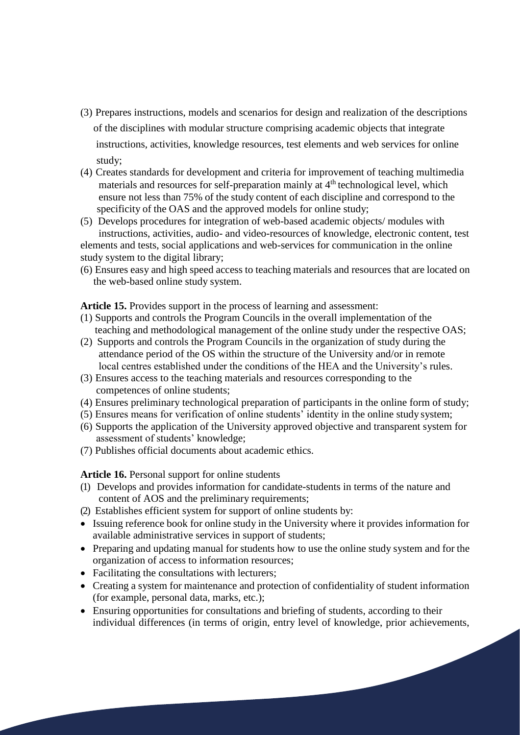- (3) Prepares instructions, models and scenarios for design and realization of the descriptions of the disciplines with modular structure comprising academic objects that integrate instructions, activities, knowledge resources, test elements and web services for online study;
- (4) Creates standards for development and criteria for improvement of teaching multimedia materials and resources for self-preparation mainly at  $4<sup>th</sup>$  technological level, which ensure not less than 75% of the study content of each discipline and correspond to the specificity of the OAS and the approved models for online study;
- (5) Develops procedures for integration of web-based academic objects/ modules with instructions, activities, audio- and video-resources of knowledge, electronic content, test elements and tests, social applications and web-services for communication in the online study system to the digital library;
- (6) Ensures easy and high speed access to teaching materials and resources that are located on the web-based online study system.

**Article 15.** Provides support in the process of learning and assessment:

- (1) Supports and controls the Program Councils in the overall implementation of the teaching and methodological management of the online study under the respective OAS;
- (2) Supports and controls the Program Councils in the organization of study during the attendance period of the OS within the structure of the University and/or in remote local centres established under the conditions of the HEA and the University's rules.
- (3) Ensures access to the teaching materials and resources corresponding to the competences of online students;
- (4) Ensures preliminary technological preparation of participants in the online form of study;
- (5) Ensures means for verification of online students' identity in the online study system;
- (6) Supports the application of the University approved objective and transparent system for assessment of students' knowledge;
- (7) Publishes official documents about academic ethics.

**Article 16.** Personal support for online students

- (1) Develops and provides information for candidate-students in terms of the nature and content of AOS and the preliminary requirements;
- (2) Establishes efficient system for support of online students by:
- Issuing reference book for online study in the University where it provides information for available administrative services in support of students;
- Preparing and updating manual for students how to use the online study system and for the organization of access to information resources;
- Facilitating the consultations with lecturers;
- Creating a system for maintenance and protection of confidentiality of student information (for example, personal data, marks, etc.);
- Ensuring opportunities for consultations and briefing of students, according to their individual differences (in terms of origin, entry level of knowledge, prior achievements,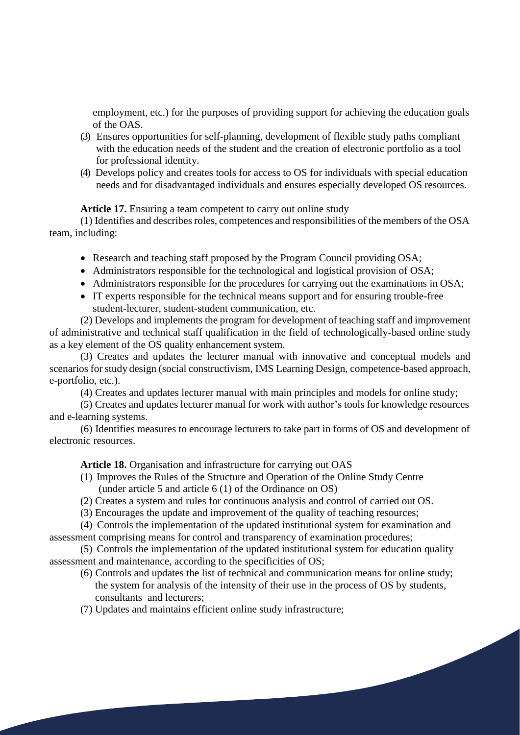employment, etc.) for the purposes of providing support for achieving the education goals of the OAS.

- (3) Ensures opportunities for self-planning, development of flexible study paths compliant with the education needs of the student and the creation of electronic portfolio as a tool for professional identity.
- (4) Develops policy and creates tools for access to OS for individuals with special education needs and for disadvantaged individuals and ensures especially developed OS resources.

**Article 17.** Ensuring a team competent to carry out online study

(1) Identifies and describes roles, competences and responsibilities of the members of the OSA team, including:

- Research and teaching staff proposed by the Program Council providing OSA;
- Administrators responsible for the technological and logistical provision of OSA;
- Administrators responsible for the procedures for carrying out the examinations in OSA;
- IT experts responsible for the technical means support and for ensuring trouble-free student-lecturer, student-student communication, etc.

(2) Develops and implements the program for development of teaching staff and improvement of administrative and technical staff qualification in the field of technologically-based online study as a key element of the OS quality enhancement system.

(3) Creates and updates the lecturer manual with innovative and conceptual models and scenarios forstudy design (social constructivism, IMS Learning Design, competence-based approach, e-portfolio, etc.).

(4) Creates and updates lecturer manual with main principles and models for online study;

(5) Creates and updates lecturer manual for work with author's tools for knowledge resources and e-learning systems.

(6) Identifies measures to encourage lecturers to take part in forms of OS and development of electronic resources.

#### **Article 18.** Organisation and infrastructure for carrying out OAS

- (1) Improves the Rules of the Structure and Operation of the Online Study Centre (under article 5 and article 6 (1) of the Ordinance on OS)
- (2) Creates a system and rules for continuous analysis and control of carried out OS.
- (3) Encourages the update and improvement of the quality of teaching resources;

(4) Controls the implementation of the updated institutional system for examination and assessment comprising means for control and transparency of examination procedures;

(5) Controls the implementation of the updated institutional system for education quality assessment and maintenance, according to the specificities of OS;

- (6) Controls and updates the list of technical and communication means for online study; the system for analysis of the intensity of their use in the process of OS by students, consultants and lecturers;
- (7) Updates and maintains efficient online study infrastructure;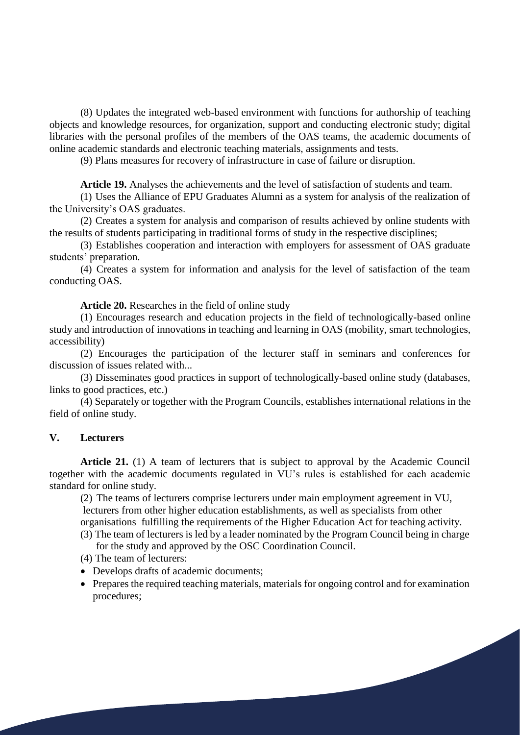(8) Updates the integrated web-based environment with functions for authorship of teaching objects and knowledge resources, for organization, support and conducting electronic study; digital libraries with the personal profiles of the members of the OAS teams, the academic documents of online academic standards and electronic teaching materials, assignments and tests.

(9) Plans measures for recovery of infrastructure in case of failure or disruption.

**Article 19.** Analyses the achievements and the level of satisfaction of students and team.

(1) Uses the Alliance of EPU Graduates Alumni as a system for analysis of the realization of the University's OAS graduates.

(2) Creates a system for analysis and comparison of results achieved by online students with the results of students participating in traditional forms of study in the respective disciplines;

(3) Establishes cooperation and interaction with employers for assessment of OAS graduate students' preparation.

(4) Creates a system for information and analysis for the level of satisfaction of the team conducting OAS.

**Article 20.** Researches in the field of online study

(1) Encourages research and education projects in the field of technologically-based online study and introduction of innovations in teaching and learning in OAS (mobility, smart technologies, accessibility)

(2) Encourages the participation of the lecturer staff in seminars and conferences for discussion of issues related with...

(3) Disseminates good practices in support of technologically-based online study (databases, links to good practices, etc.)

(4) Separately or together with the Program Councils, establishes international relations in the field of online study.

### **V. Lecturers**

**Article 21.** (1) A team of lecturers that is subject to approval by the Academic Council together with the academic documents regulated in VU's rules is established for each academic standard for online study.

(2) The teams of lecturers comprise lecturers under main employment agreement in VU, lecturers from other higher education establishments, as well as specialists from other organisations fulfilling the requirements of the Higher Education Act for teaching activity.

- (3) The team of lecturers is led by a leader nominated by the Program Council being in charge for the study and approved by the OSC Coordination Council.
- (4) The team of lecturers:
- Develops drafts of academic documents;
- Prepares the required teaching materials, materials for ongoing control and for examination procedures;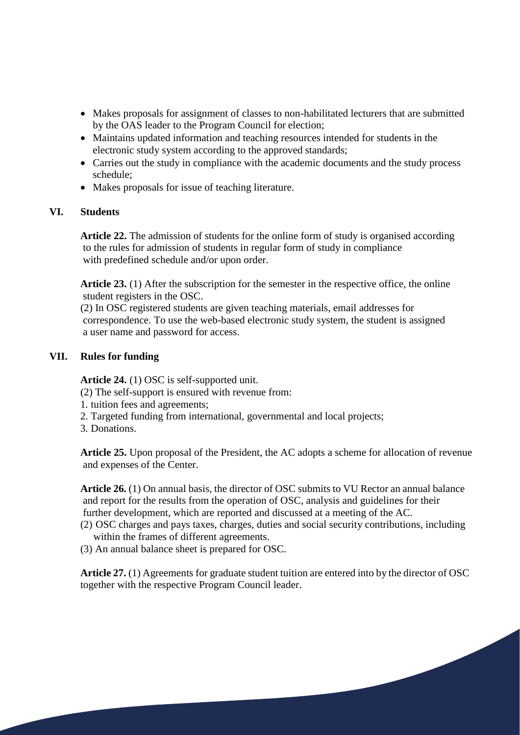- Makes proposals for assignment of classes to non-habilitated lecturers that are submitted by the OAS leader to the Program Council for election;
- Maintains updated information and teaching resources intended for students in the electronic study system according to the approved standards;
- Carries out the study in compliance with the academic documents and the study process schedule;
- Makes proposals for issue of teaching literature.

### **VI. Students**

**Article 22.** The admission of students for the online form of study is organised according to the rules for admission of students in regular form of study in compliance with predefined schedule and/or upon order.

**Article 23.** (1) After the subscription for the semester in the respective office, the online student registers in the OSC.

(2) In OSC registered students are given teaching materials, email addresses for correspondence. To use the web-based electronic study system, the student is assigned a user name and password for access.

#### **VII. Rules for funding**

**Article 24.** (1) OSC is self-supported unit.

- (2) The self-support is ensured with revenue from:
- 1. tuition fees and agreements;
- 2. Targeted funding from international, governmental and local projects;
- 3. Donations.

**Article 25.** Upon proposal of the President, the AC adopts a scheme for allocation of revenue and expenses of the Center.

**Article 26.** (1) On annual basis, the director of OSC submits to VU Rector an annual balance and report for the results from the operation of OSC, analysis and guidelines for their further development, which are reported and discussed at a meeting of the AC.

(2) OSC charges and pays taxes, charges, duties and social security contributions, including within the frames of different agreements.

(3) An annual balance sheet is prepared for OSC.

**Article 27.** (1) Agreements for graduate student tuition are entered into by the director of OSC together with the respective Program Council leader.